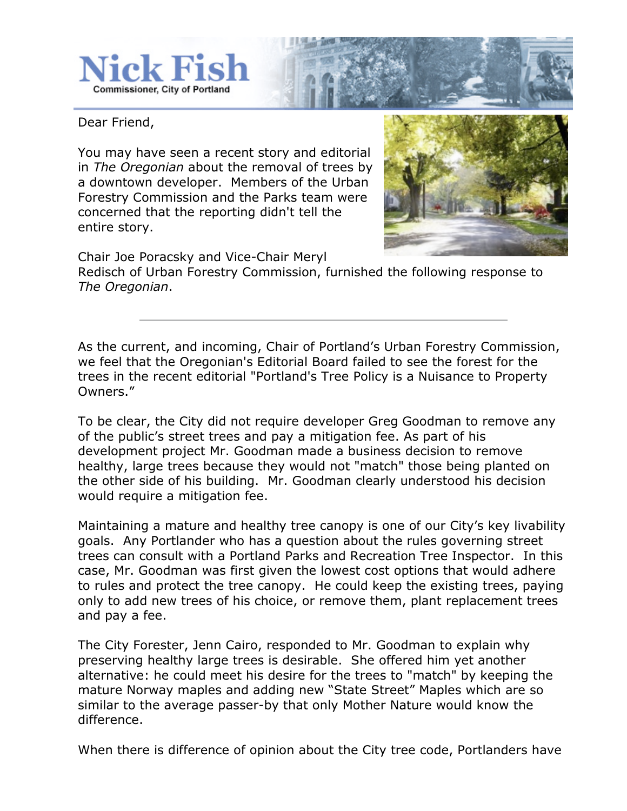

Dear Friend,

You may have seen a recent story and editorial in *The Oregonian* about the removal of trees by a downtown developer. Members of the Urban Forestry Commission and the Parks team were concerned that the reporting didn't tell the entire story.

Chair Joe Poracsky and Vice\$Chair Meryl

Redisch of Urban Forestry Commission, furnished the following response to *The Oregonian*.

As the current, and incoming, Chair of Portland's Urban Forestry Commission, we feel that the Oregonian's Editorial Board failed to see the forest for the trees in the recent editorial "Portland's Tree Policy is a Nuisance to Property Owners."

To be clear, the City did not require developer Greg Goodman to remove any of the public's street trees and pay a mitigation fee. As part of his development project Mr. Goodman made a business decision to remove healthy, large trees because they would not "match" those being planted on the other side of his building. Mr. Goodman clearly understood his decision would require a mitigation fee.

Maintaining a mature and healthy tree canopy is one of our City's key livability goals. Any Portlander who has a question about the rules governing street trees can consult with a Portland Parks and Recreation Tree Inspector. In this case, Mr. Goodman was first given the lowest cost options that would adhere to rules and protect the tree canopy. He could keep the existing trees, paying only to add new trees of his choice, or remove them, plant replacement trees and pay a fee.

The City Forester, Jenn Cairo, responded to Mr. Goodman to explain why preserving healthy large trees is desirable. She offered him yet another alternative: he could meet his desire for the trees to "match" by keeping the mature Norway maples and adding new "State Street" Maples which are so similar to the average passer-by that only Mother Nature would know the difference.

When there is difference of opinion about the City tree code, Portlanders have